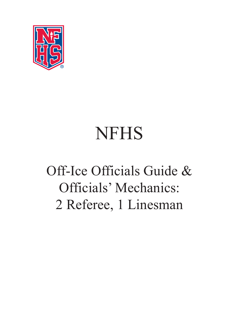

# NFHS

## Off-Ice Officials Guide & Officials' Mechanics: 2 Referee, 1 Linesman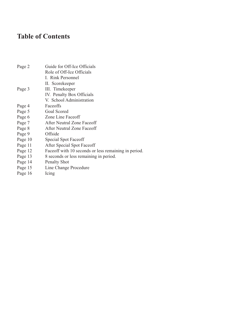## **Table of Contents**

| Page 2  | Guide for Off-Ice Officials                           |
|---------|-------------------------------------------------------|
|         | Role of Off-Ice Officials                             |
|         | I. Rink Personnel                                     |
|         | II. Scorekeeper                                       |
| Page 3  | III. Timekeeper                                       |
|         | IV. Penalty Box Officials                             |
|         | V. School Administration                              |
| Page 4  | Faceoffs                                              |
| Page 5  | Goal Scored                                           |
| Page 6  | Zone Line Faceoff                                     |
| Page 7  | After Neutral Zone Faceoff                            |
| Page 8  | After Neutral Zone Faceoff                            |
| Page 9  | Offside                                               |
| Page 10 | Special Spot Faceoff                                  |
| Page 11 | After Special Spot Faceoff                            |
| Page 12 | Face off with 10 seconds or less remaining in period. |
| Page 13 | 8 seconds or less remaining in period.                |
| Page 14 | <b>Penalty Shot</b>                                   |
| Page 15 | Line Change Procedure                                 |
| Page 16 | Icing                                                 |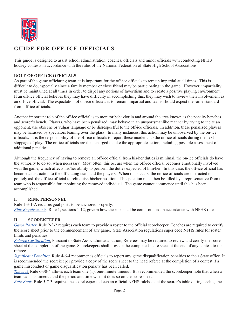

#### **GUIDE FOR OFF-ICE OFFICIALS**

This guide is designed to assist school administration, coaches, officials and minor officials with conducting NFHS hockey contests in accordance with the rules of the National Federation of State High School Associations.

#### **ROLE OF OFF-ICE OFFICIALS**

As part of the game officiating team, it is important for the off-ice officials to remain impartial at all times. This is difficult to do, especially since a family member or close friend may be participating in the game. However, impartiality must be maintained at all times in order to dispel any notions of favoritism and to create a positive playing environment. If an off-ice official believes they may have difficulty in accomplishing this, they may wish to review their involvement as an off-ice official. The expectation of on-ice officials is to remain impartial and teams should expect the same standard from off-ice officials.

Another important role of the off-ice official is to monitor behavior in and around the area known as the penalty benches and scorer's bench. Players, who have been penalized, may behave in an unsportsmanlike manner by trying to incite an opponent, use obscene or vulgar language or be disrespectful to the off-ice officials. In addition, these penalized players may be harassed by spectators leaning over the glass. In many instances, this action may be unobserved by the on-ice officials. It is the responsibility of the off-ice officials to report these incidents to the on-ice officials during the next stoppage of play. The on-ice officials are then charged to take the appropriate action, including possible assessment of additional penalties.

Although the frequency of having to remove an off-ice official from his/her duties is minimal, the on-ice officials do have the authority to do so, when necessary. Most often, this occurs when the off-ice official becomes emotionally involved with the game, which affects his/her ability to perform the duties expected of him/her. In this case, the off-ice official has become a distraction to the officiating team and the players. When this occurs, the on-ice officials are instructed to politely ask the off-ice official to relinquish his/her position. This position must then be filled by a representative from the team who is responsible for appointing the removed individual. The game cannot commence until this has been accomplished.

#### **I. RINK PERSONNEL**

Rule 1-3-1-A requires goal posts to be anchored properly. *Rink Requirements.* Rule 1, sections 1-12, govern how the rink shall be compromised in accordance with NFHS rules.

#### **II. SCOREKEEPER**

*Game Roster*. Rule 2-3-2 requires each team to provide a roster to the official scorekeeper. Coaches are required to certify the score sheet prior to the commencement of any game. State Association regulations super cede NFHS rules for roster limits and penalties.

*Referee Certification.* Pursuant to State Association adaptation, Referees may be required to review and certify the score sheet at the completion of the game. Scorekeepers shall provide the completed score sheet at the end of any contest to the referee.

*Significant Penalties.* Rule 4-6-4 recommends officials to report any game disqualification penalties to their State office. It is recommended the scorekeeper provide a copy of the score sheet to the head referee at the completion of a contest if a game misconduct or game disqualification penalty has been called.

*Timeout.* Rule 6-38-4 allows each team one (1), one-minute timeout. It is recommended the scorekeeper note that when a team calls its timeout and the period and time when it does so on the score sheet.

*Rule Book.* Rule 5-7-3 requires the scorekeeper to keep an official NFHS rulebook at the scorer's table during each game.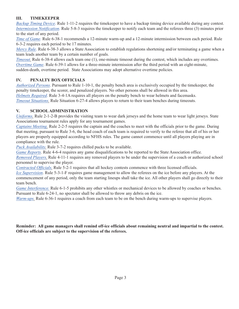#### **III. TIMEKEEPER**

*Backup Timing Device*. Rule 1-11-2 requires the timekeeper to have a backup timing device available during any contest. *Intermission Notification*. Rule 5-8-3 requires the timekeeper to notify each team and the referees three (3) minutes prior to the start of any period.

*Time of Game*. Rule 6-38-1 recommends a 12-minute warm-up and a 12-minute intermission between each period. Rule 6-3-2 requires each period to be 17 minutes.

*Mercy Rule*. Rule 6-38-3 allows a State Association to establish regulations shortening and/or terminating a game when a team leads another team by a certain number of goals.

*Timeout.* Rule 6-38-4 allows each team one (1), one-minute timeout during the contest, which includes any overtimes. *Overtime Game*. Rule 6-39-1 allows for a three-minute intermission after the third period with an eight-minute, sudden-death, overtime period. State Associations may adopt alternative overtime policies.

#### **IV. PENALTY BOX OFFICIALS**

*Authorized Persons*. Pursuant to Rule 1-10-1, the penalty bench area is exclusively occupied by the timekeeper, the penalty timekeeper, the scorer, and penalized players. No other persons shall be allowed in this area. *Helmets Required*. Rule 3-4-1A requires all players on the penalty bench to wear helmets and facemasks. *Timeout Situations.* Rule Situation 6-27-4 allows players to return to their team benches during timeouts.

#### **V. SCHOOL ADMINISTRATION**

*Uniforms.* Rule 2-1-2-B provides the visiting team to wear dark jerseys and the home team to wear light jerseys. State Associations tournament rules apply for any tournament games.

*Captains Meeting.* Rule 2-2-5 requires the captain and the coaches to meet with the officials prior to the game. During that meeting, pursuant to Rule 3-6, the head coach of each team is required to verify to the referee that all of his or her players are properly equipped according to NFHS rules. The game cannot commence until all players playing are in compliance with the rule.

*Puck Availability.* Rule 3-7-2 requires chilled pucks to be available.

*Game Reports*. Rule 4-6-4 requires any game disqualifications to be reported to the State Association office.

*Removed Players.* Rule 4-11-1 requires any removed players to be under the supervision of a coach or authorized school personnel to supervise the player.

*Contracted Officials.* Rule 5-2-1 requires that all hockey contests commence with three licensed officials.

*Ice Supervision*. Rule 5-3-1-F requires game management to allow the referees on the ice before any players. At the commencement of any period, only the team starting lineups shall take the ice. All other players shall go directly to their team bench.

*Game Interference*. Rule 6-1-5 prohibits any other whistles or mechanical devices to be allowed by coaches or benches. Pursuant to Rule 6-24-1, no spectator shall be allowed to throw any debris on the ice.

*Warm-ups.* Rule 6-36-1 requires a coach from each team to be on the bench during warm-ups to supervise players.

**Reminder: All game managers shall remind off-ice officials about remaining neutral and impartial to the contest. Off-ice officials are subject to the supervision of the referees.**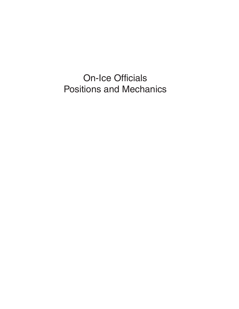On-Ice Officials Positions and Mechanics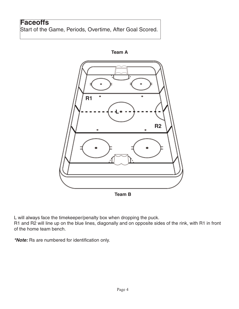## **Faceoffs**

Start of the Game, Periods, Overtime, After Goal Scored.



L will always face the timekeeper/penalty box when dropping the puck. R1 and R2 will line up on the blue lines, diagonally and on opposite sides of the rink, with R1 in front

of the home team bench.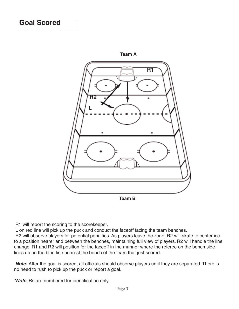

R1 will report the scoring to the scorekeeper.

L on red line will pick up the puck and conduct the faceoff facing the team benches.

R2 will observe players for potential penalties. As players leave the zone, R2 will skate to center ice to a position nearer and between the benches, maintaining full view of players. R2 will handle the line change. R1 and R2 will position for the faceoff in the manner where the referee on the bench side lines up on the blue line nearest the bench of the team that just scored.

**Note:** After the goal is scored, all officials should observe players until they are separated. There is no need to rush to pick up the puck or report a goal.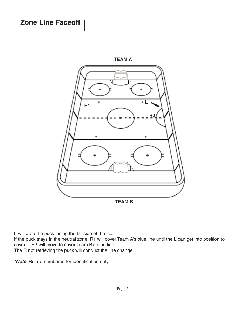

L will drop the puck facing the far side of the ice.

If the puck stays in the neutral zone, R1 will cover Team A's blue line until the L can get into position to cover it. R2 will move to cover Team B's blue line.

The R not retrieving the puck will conduct the line change.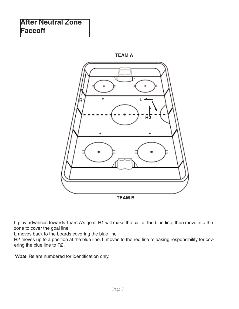## **After Neutral Zone Faceoff**



If play advances towards Team A's goal, R1 will make the call at the blue line, then move into the zone to cover the goal line.

L moves back to the boards covering the blue line.

R2 moves up to a position at the blue line. L moves to the red line releasing responsibility for covering the blue line to R2.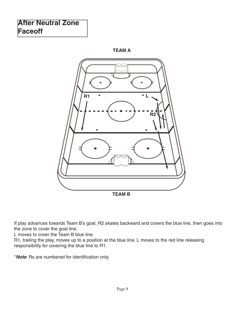## **After Neutral Zone Faceoff**





If play advances towards Team B's goal, R2 skates backward and covers the blue line, then goes into the zone to cover the goal line.

L moves to cover the Team B blue line.

R1, trailing the play, moves up to a position at the blue line. L moves to the red line releasing responsibility for covering the blue line to R1.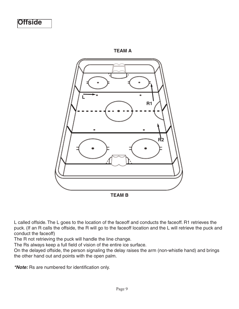



L called offside. The L goes to the location of the faceoff and conducts the faceoff. R1 retrieves the puck. (If an R calls the offside, the R will go to the faceoff location and the L will retrieve the puck and conduct the faceoff)

The R not retrieving the puck will handle the line change.

The Rs always keep a full field of vision of the entire ice surface.

On the delayed offside, the person signaling the delay raises the arm (non-whistle hand) and brings the other hand out and points with the open palm.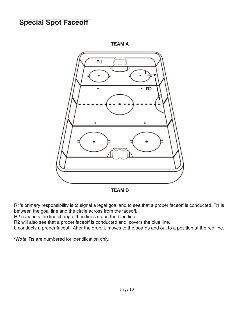## **Special Spot Faceoff**



**TEAM A**

**TEAM B**

R1's primary responsibility is to signal a legal goal and to see that a proper faceoff is conducted. R1 is between the goal line and the circle across from the faceoff.

R2 conducts the line change, then lines up on the blue line.

R2 will also see that a proper faceoff is conducted and covers the blue line.

L conducts a proper faceoff. After the drop, L moves to the boards and out to a position at the red line.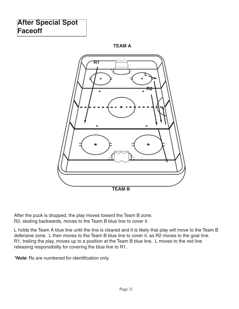## **After Special Spot Faceoff**





After the puck is dropped, the play moves toward the Team B zone. R2, skating backwards, moves to the Team B blue line to cover it.

L holds the Team A blue line until the line is cleared and it is likely that play will move to the Team B defensive zone. L then moves to the Team B blue line to cover it, as R2 moves to the goal line. R1, trailing the play, moves up to a position at the Team B blue line. L moves to the red line releasing responsibility for covering the blue line to R1.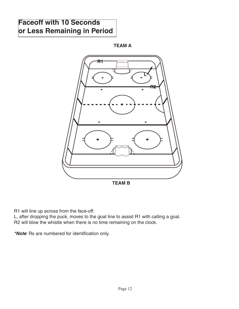## **Faceoff with 10 Seconds or Less Remaining in Period**

**TEAM A**



R1 will line up across from the face-off.

L, after dropping the puck, moves to the goal line to assist R1 with calling a goal. R2 will blow the whistle when there is no time remaining on the clock.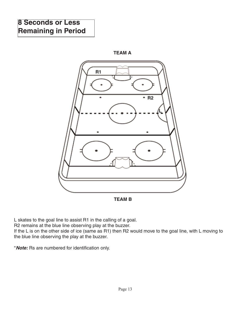## **8 Seconds or Less Remaining in Period**





L skates to the goal line to assist R1 in the calling of a goal.

R2 remains at the blue line observing play at the buzzer.

If the L is on the other side of ice (same as R1) then R2 would move to the goal line, with L moving to the blue line observing the play at the buzzer.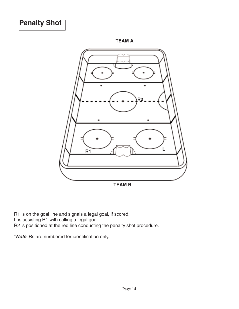

**TEAM A**



R1 is on the goal line and signals a legal goal, if scored. L is assisting R1 with calling a legal goal. R2 is positioned at the red line conducting the penalty shot procedure.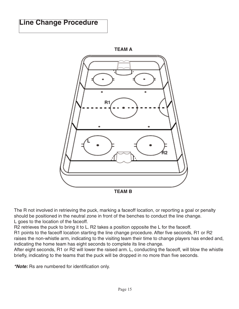## **Line Change Procedure**



The R not involved in retrieving the puck, marking a faceoff location, or reporting a goal or penalty should be positioned in the neutral zone in front of the benches to conduct the line change. L goes to the location of the faceoff.

R2 retrieves the puck to bring it to L. R2 takes a position opposite the L for the faceoff.

R1 points to the faceoff location starting the line change procedure. After five seconds, R1 or R2 raises the non-whistle arm, indicating to the visiting team their time to change players has ended and, indicating the home team has eight seconds to complete its line change.

After eight seconds, R1 or R2 will lower the raised arm. L, conducting the faceoff, will blow the whistle briefly, indicating to the teams that the puck will be dropped in no more than five seconds.